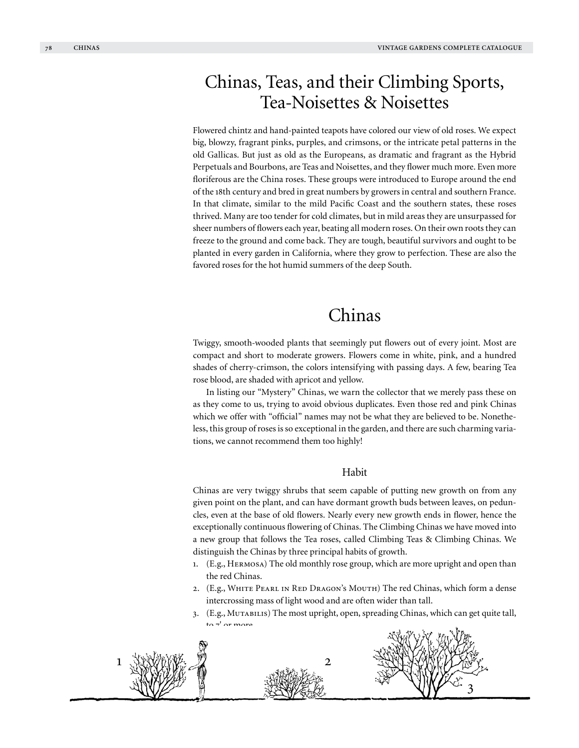# Chinas, Teas, and their Climbing Sports, Tea-Noisettes & Noisettes

Flowered chintz and hand-painted teapots have colored our view of old roses. We expect big, blowzy, fragrant pinks, purples, and crimsons, or the intricate petal patterns in the old Gallicas. But just as old as the Europeans, as dramatic and fragrant as the Hybrid Perpetuals and Bourbons, are Teas and Noisettes, and they flower much more. Even more floriferous are the China roses. These groups were introduced to Europe around the end of the 18th century and bred in great numbers by growers in central and southern France. In that climate, similar to the mild Pacific Coast and the southern states, these roses thrived. Many are too tender for cold climates, but in mild areas they are unsurpassed for sheer numbers of flowers each year, beating all modern roses. On their own roots they can freeze to the ground and come back. They are tough, beautiful survivors and ought to be planted in every garden in California, where they grow to perfection. These are also the favored roses for the hot humid summers of the deep South.

# Chinas

Twiggy, smooth-wooded plants that seemingly put flowers out of every joint. Most are compact and short to moderate growers. Flowers come in white, pink, and a hundred shades of cherry-crimson, the colors intensifying with passing days. A few, bearing Tea rose blood, are shaded with apricot and yellow.

In listing our "Mystery" Chinas, we warn the collector that we merely pass these on as they come to us, trying to avoid obvious duplicates. Even those red and pink Chinas which we offer with "official" names may not be what they are believed to be. Nonetheless, this group of roses is so exceptional in the garden, and there are such charming variations, we cannot recommend them too highly!

# Habit

Chinas are very twiggy shrubs that seem capable of putting new growth on from any given point on the plant, and can have dormant growth buds between leaves, on peduncles, even at the base of old flowers. Nearly every new growth ends in flower, hence the exceptionally continuous flowering of Chinas. The Climbing Chinas we have moved into a new group that follows the Tea roses, called Climbing Teas & Climbing Chinas. We distinguish the Chinas by three principal habits of growth.

- 1. (E.g., Hermosa) The old monthly rose group, which are more upright and open than the red Chinas.
- 2. (E.g., White Pearl in Red Dragon's Mouth) The red Chinas, which form a dense intercrossing mass of light wood and are often wider than tall.
- 3. (E.g., MUTABILIS) The most upright, open, spreading Chinas, which can get quite tall, to  $7'$  or more.



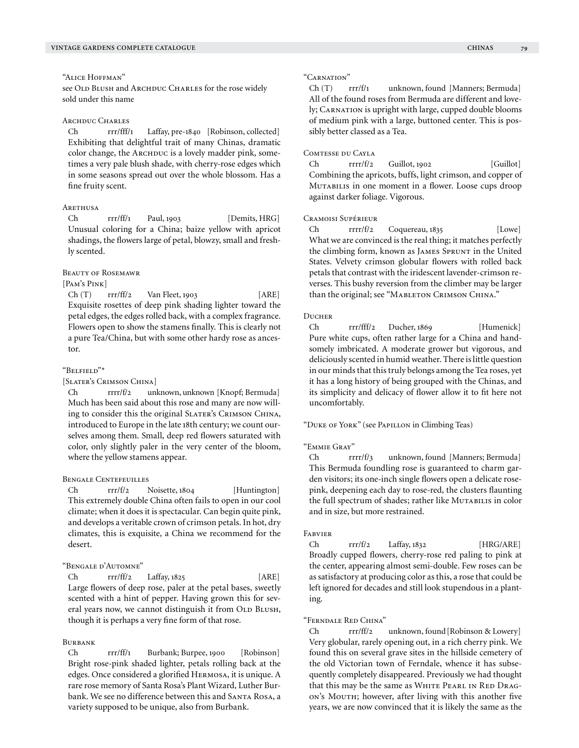see OLD BLUSH and ARCHDUC CHARLES for the rose widely sold under this name

# ARCHDUC CHARLES

Ch rrr/fff/1 Laffay, pre-1840 [Robinson, collected] Exhibiting that delightful trait of many Chinas, dramatic color change, the ARCHDUC is a lovely madder pink, sometimes a very pale blush shade, with cherry-rose edges which in some seasons spread out over the whole blossom. Has a fine fruity scent.

#### **ARETHUSA**

Ch rrr/ff/1 Paul, 1903 [Demits, HRG] Unusual coloring for a China; baize yellow with apricot shadings, the flowers large of petal, blowzy, small and freshly scented.

## Beauty of Rosemawr

#### [P<sub>AM</sub>'s P<sub>INK</sub>]

 $Ch(T)$  rrr/ff/2 Van Fleet, 1903 [ARE] Exquisite rosettes of deep pink shading lighter toward the petal edges, the edges rolled back, with a complex fragrance. Flowers open to show the stamens finally. This is clearly not a pure Tea/China, but with some other hardy rose as ancestor.

# "Belfield"\*

[Slater's Crimson China]

Ch rrrr/f/2 unknown, unknown [Knopf; Bermuda] Much has been said about this rose and many are now willing to consider this the original SLATER's CRIMSON CHINA, introduced to Europe in the late 18th century; we count ourselves among them. Small, deep red flowers saturated with color, only slightly paler in the very center of the bloom, where the yellow stamens appear.

# Bengale Centefeuilles

Ch rrr/f/2 Noisette, 1804 [Huntington] This extremely double China often fails to open in our cool climate; when it does it is spectacular. Can begin quite pink, and develops a veritable crown of crimson petals. In hot, dry climates, this is exquisite, a China we recommend for the desert.

# "Bengale d'Automne"

Ch rrr/ff/2 Laffay, 1825 [ARE] Large flowers of deep rose, paler at the petal bases, sweetly scented with a hint of pepper. Having grown this for several years now, we cannot distinguish it from OLD BLUSH, though it is perhaps a very fine form of that rose.

# **BURBANK**

Ch rrr/ff/1 Burbank; Burpee, 1900 [Robinson] Bright rose-pink shaded lighter, petals rolling back at the edges. Once considered a glorified Hermosa, it is unique. A rare rose memory of Santa Rosa's Plant Wizard, Luther Burbank. We see no difference between this and SANTA ROSA, a variety supposed to be unique, also from Burbank.

#### "Carnation"

Ch (T) rrr/f/1 unknown, found [Manners; Bermuda] All of the found roses from Bermuda are different and lovely; CARNATION is upright with large, cupped double blooms of medium pink with a large, buttoned center. This is possibly better classed as a Tea.

## Comtesse du Cayla

 $Ch \rarr r f/2 \t Guillot, 1902 \t [Guillot]$ Combining the apricots, buffs, light crimson, and copper of Mutabilis in one moment in a flower. Loose cups droop against darker foliage. Vigorous.

#### Cramoisi Supérieur

Ch rrrr/f/2 Coquereau, 1835 [Lowe] What we are convinced is the real thing; it matches perfectly the climbing form, known as JAMES SPRUNT in the United States. Velvety crimson globular flowers with rolled back petals that contrast with the iridescent lavender-crimson reverses. This bushy reversion from the climber may be larger than the original; see "MABLETON CRIMSON CHINA."

#### **DUCHER**

Ch rrr/fff/2 Ducher, 1869 [Humenick] Pure white cups, often rather large for a China and handsomely imbricated. A moderate grower but vigorous, and deliciously scented in humid weather. There is little question in our minds that this truly belongs among the Tea roses, yet it has a long history of being grouped with the Chinas, and its simplicity and delicacy of flower allow it to fit here not uncomfortably.

"Duke of York" (see Papillon in Climbing Teas)

#### "Emmie Gray"

Ch rrrr/f/3 unknown, found [Manners; Bermuda] This Bermuda foundling rose is guaranteed to charm garden visitors; its one-inch single flowers open a delicate rosepink, deepening each day to rose-red, the clusters flaunting the full spectrum of shades; rather like MUTABILIS in color and in size, but more restrained.

#### Fabvier

Ch  $rrr/f/2$  Laffay, 1832 [HRG/ARE] Broadly cupped flowers, cherry-rose red paling to pink at the center, appearing almost semi-double. Few roses can be as satisfactory at producing color as this, a rose that could be left ignored for decades and still look stupendous in a planting.

### "Ferndale Red China"

Ch rrr/ff/2 unknown, found[Robinson & Lowery] Very globular, rarely opening out, in a rich cherry pink. We found this on several grave sites in the hillside cemetery of the old Victorian town of Ferndale, whence it has subsequently completely disappeared. Previously we had thought that this may be the same as WHITE PEARL IN RED DRAGon's Mourn; however, after living with this another five years, we are now convinced that it is likely the same as the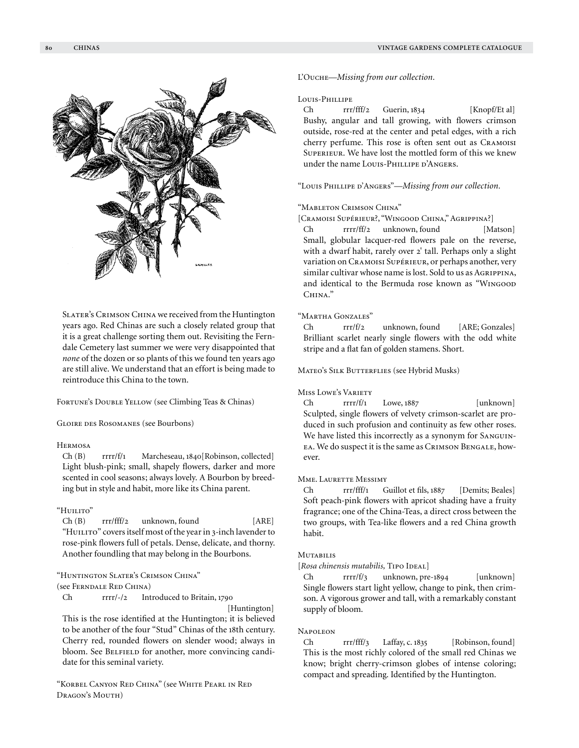

#### Louis-Phillipe

Ch rrr/fff/2 Guerin, 1834 [Knopf/Et al] Bushy, angular and tall growing, with flowers crimson outside, rose-red at the center and petal edges, with a rich cherry perfume. This rose is often sent out as Cramoisi Superieur. We have lost the mottled form of this we knew under the name LOUIS-PHILLIPE D'ANGERS.

"Louis Phillipe d'Angers"—*Missing from our collection.*

# "Mableton Crimson China"

[Cramoisi Supérieur?, "Wingood China," Agrippina?]

Ch rrrr/ff/2 unknown, found [Matson] Small, globular lacquer-red flowers pale on the reverse, with a dwarf habit, rarely over 2' tall. Perhaps only a slight variation on Cramoisi Supérieur, or perhaps another, very similar cultivar whose name is lost. Sold to us as AGRIPPINA, and identical to the Bermuda rose known as "Wingood China."

## "Martha Gonzales"

Ch rrr/f/2 unknown, found [ARE; Gonzales] Brilliant scarlet nearly single flowers with the odd white stripe and a flat fan of golden stamens. Short.

MATEO'S SILK BUTTERFLIES (see Hybrid Musks)

# Miss Lowe's Variety

 $Ch$  rrrr/f/1 Lowe, 1887 [unknown] Sculpted, single flowers of velvety crimson-scarlet are produced in such profusion and continuity as few other roses. We have listed this incorrectly as a synonym for Sanguinea. We do suspect it is the same as Crimson Bengale, however.

# Mme. Laurette Messimy

Ch rrr/fff/1 Guillot et fils, 1887 [Demits; Beales] Soft peach-pink flowers with apricot shading have a fruity fragrance; one of the China-Teas, a direct cross between the two groups, with Tea-like flowers and a red China growth habit.

#### **MUTABILIS**

[Rosa chinensis mutabilis, TIPO IDEAL]

Ch rrrr/f/3 unknown, pre-1894 [unknown] Single flowers start light yellow, change to pink, then crimson. A vigorous grower and tall, with a remarkably constant supply of bloom.

# **NAPOLEON**

Ch rrr/fff/3 Laffay, c. 1835 [Robinson, found] This is the most richly colored of the small red Chinas we know; bright cherry-crimson globes of intense coloring; compact and spreading. Identified by the Huntington.

Slater's Crimson China we received from the Huntington years ago. Red Chinas are such a closely related group that it is a great challenge sorting them out. Revisiting the Ferndale Cemetery last summer we were very disappointed that *none* of the dozen or so plants of this we found ten years ago are still alive. We understand that an effort is being made to reintroduce this China to the town.

.<br>Sachschille

FORTUNE's DOUBLE YELLOW (see Climbing Teas & Chinas)

Gloire des Rosomanes (see Bourbons)

# Hermosa

Ch (B) rrrr/f/1 Marcheseau, 1840[Robinson, collected] Light blush-pink; small, shapely flowers, darker and more scented in cool seasons; always lovely. A Bourbon by breeding but in style and habit, more like its China parent.

# "Huilito"

Ch (B) rrr/fff/2 unknown, found [ARE] "HUILITO" covers itself most of the year in 3-inch lavender to rose-pink flowers full of petals. Dense, delicate, and thorny. Another foundling that may belong in the Bourbons.

"Huntington Slater's Crimson China"

(see Ferndale Red China)

Ch rrrr/-/2 Introduced to Britain, 1790

[Huntington] This is the rose identified at the Huntington; it is believed to be another of the four "Stud" Chinas of the 18th century. Cherry red, rounded flowers on slender wood; always in bloom. See BELFIELD for another, more convincing candidate for this seminal variety.

"Korbel Canyon Red China" (see White Pearl in Red Dragon's Mouth)